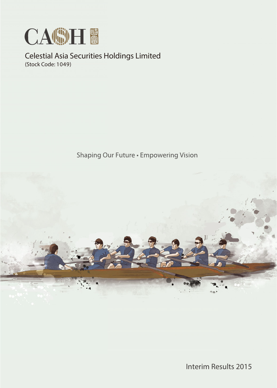

Celestial Asia Securities Holdings Limited (Stock Code: 1049)

Shaping Our Future . Empowering Vision



Interim Results 2015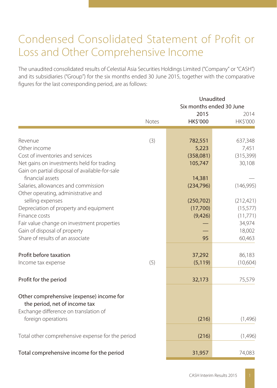# Condensed Consolidated Statement of Profit or Loss and Other Comprehensive Income

The unaudited consolidated results of Celestial Asia Securities Holdings Limited ("Company" or "CASH") and its subsidiaries ("Group") for the six months ended 30 June 2015, together with the comparative figures for the last corresponding period, are as follows:

|                                                                           |       |                         | Unaudited<br>Six months ended 30 June |  |  |  |
|---------------------------------------------------------------------------|-------|-------------------------|---------------------------------------|--|--|--|
|                                                                           | Notes | 2015<br><b>HK\$'000</b> | 2014<br>HK\$'000                      |  |  |  |
|                                                                           |       |                         |                                       |  |  |  |
| Revenue                                                                   | (3)   | 782,551                 | 637,348                               |  |  |  |
| Other income                                                              |       | 5,223                   | 7,451                                 |  |  |  |
| Cost of inventories and services                                          |       | (358,081)               | (315, 399)                            |  |  |  |
| Net gains on investments held for trading                                 |       | 105,747                 | 30,108                                |  |  |  |
| Gain on partial disposal of available-for-sale                            |       |                         |                                       |  |  |  |
| financial assets                                                          |       | 14,381                  |                                       |  |  |  |
| Salaries, allowances and commission                                       |       | (234, 796)              | (146, 995)                            |  |  |  |
| Other operating, administrative and                                       |       |                         |                                       |  |  |  |
| selling expenses                                                          |       | (250, 702)              | (212, 421)                            |  |  |  |
| Depreciation of property and equipment                                    |       | (17,700)                | (15, 577)                             |  |  |  |
| Finance costs                                                             |       | (9,426)                 | (11,771)                              |  |  |  |
| Fair value change on investment properties                                |       |                         | 34,974                                |  |  |  |
| Gain of disposal of property                                              |       |                         | 18,002                                |  |  |  |
| Share of results of an associate                                          |       | 95                      | 60,463                                |  |  |  |
| Profit before taxation                                                    |       | 37,292                  | 86,183                                |  |  |  |
| Income tax expense                                                        | (5)   | (5, 119)                | (10,604)                              |  |  |  |
|                                                                           |       |                         |                                       |  |  |  |
| Profit for the period                                                     |       | 32,173                  | 75,579                                |  |  |  |
| Other comprehensive (expense) income for<br>the period, net of income tax |       |                         |                                       |  |  |  |
| Exchange difference on translation of                                     |       |                         |                                       |  |  |  |
| foreign operations                                                        |       | (216)                   | (1,496)                               |  |  |  |
| Total other comprehensive expense for the period                          |       | (216)                   | (1,496)                               |  |  |  |
| Total comprehensive income for the period                                 |       | 31,957                  | 74,083                                |  |  |  |
|                                                                           |       |                         |                                       |  |  |  |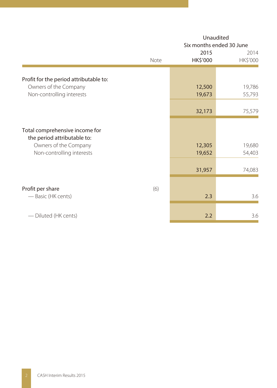|                                                               | Unaudited<br>Six months ended 30 June |                  |                  |  |
|---------------------------------------------------------------|---------------------------------------|------------------|------------------|--|
|                                                               | Note                                  | 2015<br>HK\$'000 | 2014<br>HK\$'000 |  |
| Profit for the period attributable to:                        |                                       |                  |                  |  |
| Owners of the Company                                         |                                       | 12,500           | 19,786           |  |
| Non-controlling interests                                     |                                       | 19,673           | 55,793           |  |
|                                                               |                                       |                  |                  |  |
|                                                               |                                       | 32,173           | 75,579           |  |
| Total comprehensive income for<br>the period attributable to: |                                       |                  |                  |  |
| Owners of the Company                                         |                                       | 12,305           | 19,680           |  |
| Non-controlling interests                                     |                                       | 19,652           | 54,403           |  |
|                                                               |                                       | 31,957           | 74,083           |  |
| Profit per share                                              | (6)                                   |                  |                  |  |
| — Basic (HK cents)                                            |                                       | 2.3              | 3.6              |  |
| - Diluted (HK cents)                                          |                                       | 2.2              | 3.6              |  |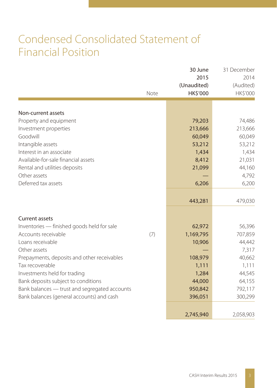# Condensed Consolidated Statement of Financial Position

|                                               | Note | 30 June<br>2015<br>(Unaudited)<br>HK\$'000 | 31 December<br>2014<br>(Audited)<br>HK\$'000 |
|-----------------------------------------------|------|--------------------------------------------|----------------------------------------------|
|                                               |      |                                            |                                              |
| Non-current assets                            |      |                                            |                                              |
| Property and equipment                        |      | 79,203                                     | 74,486                                       |
| Investment properties                         |      | 213,666                                    | 213,666                                      |
| Goodwill                                      |      | 60,049                                     | 60,049                                       |
| Intangible assets<br>Interest in an associate |      | 53,212                                     | 53,212                                       |
| Available-for-sale financial assets           |      | 1,434<br>8,412                             | 1,434                                        |
|                                               |      |                                            | 21,031                                       |
| Rental and utilities deposits<br>Other assets |      | 21,099                                     | 44,160<br>4,792                              |
| Deferred tax assets                           |      | 6,206                                      | 6,200                                        |
|                                               |      |                                            |                                              |
|                                               |      | 443,281                                    | 479,030                                      |
|                                               |      |                                            |                                              |
| <b>Current assets</b>                         |      |                                            |                                              |
| Inventories - finished goods held for sale    |      | 62,972                                     | 56,396                                       |
| Accounts receivable                           | (7)  | 1,169,795                                  | 707,859                                      |
| Loans receivable                              |      | 10,906                                     | 44,442                                       |
| Other assets                                  |      |                                            | 7,317                                        |
| Prepayments, deposits and other receivables   |      | 108,979                                    | 40,662                                       |
| Tax recoverable                               |      | 1,111                                      | 1,111                                        |
| Investments held for trading                  |      | 1,284                                      | 44,545                                       |
| Bank deposits subject to conditions           |      | 44,000                                     | 64,155                                       |
| Bank balances - trust and segregated accounts |      | 950,842                                    | 792,117                                      |
| Bank balances (general accounts) and cash     |      | 396,051                                    | 300,299                                      |
|                                               |      |                                            |                                              |
|                                               |      | 2,745,940                                  | 2,058,903                                    |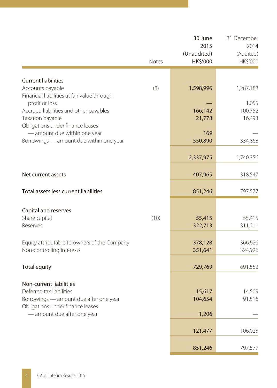|                                                                                                                                   | Notes | 30 June<br>2015<br>(Unaudited)<br><b>HK\$'000</b> | 31 December<br>2014<br>(Audited)<br>HK\$'000 |
|-----------------------------------------------------------------------------------------------------------------------------------|-------|---------------------------------------------------|----------------------------------------------|
|                                                                                                                                   |       |                                                   |                                              |
| <b>Current liabilities</b><br>Accounts payable<br>Financial liabilities at fair value through                                     | (8)   | 1,598,996                                         | 1,287,188                                    |
| profit or loss<br>Accrued liabilities and other payables<br>Taxation payable                                                      |       | 166,142<br>21,778                                 | 1,055<br>100,752<br>16,493                   |
| Obligations under finance leases<br>- amount due within one year<br>Borrowings - amount due within one year                       |       | 169<br>550,890                                    | 334,868                                      |
|                                                                                                                                   |       | 2,337,975                                         | 1,740,356                                    |
| Net current assets                                                                                                                |       | 407,965                                           | 318,547                                      |
| Total assets less current liabilities                                                                                             |       | 851,246                                           | 797,577                                      |
| Capital and reserves<br>Share capital<br>Reserves                                                                                 | (10)  | 55,415<br>322,713                                 | 55,415<br>311,211                            |
| Equity attributable to owners of the Company<br>Non-controlling interests                                                         |       | 378,128<br>351,641                                | 366,626<br>324,926                           |
| <b>Total equity</b>                                                                                                               |       | 729,769                                           | 691,552                                      |
| Non-current liabilities<br>Deferred tax liabilities<br>Borrowings - amount due after one year<br>Obligations under finance leases |       | 15,617<br>104,654                                 | 14,509<br>91,516                             |
| - amount due after one year                                                                                                       |       | 1,206                                             |                                              |
|                                                                                                                                   |       | 121,477                                           | 106,025                                      |
|                                                                                                                                   |       | 851,246                                           | 797,577                                      |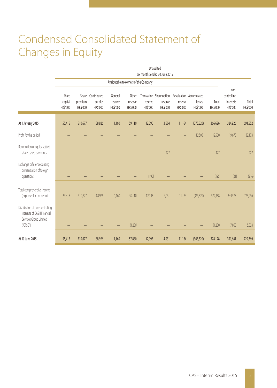# Condensed Consolidated Statement of Changes in Equity

|                                                                                                      | Unaudited                           |                            |                                                 |                                       |                                       |                            |                               |                            |                                                                               |                          |                                              |                   |
|------------------------------------------------------------------------------------------------------|-------------------------------------|----------------------------|-------------------------------------------------|---------------------------------------|---------------------------------------|----------------------------|-------------------------------|----------------------------|-------------------------------------------------------------------------------|--------------------------|----------------------------------------------|-------------------|
|                                                                                                      |                                     |                            |                                                 |                                       | Attributable to owners of the Company |                            | Six months ended 30 June 2015 |                            |                                                                               |                          |                                              |                   |
|                                                                                                      | Share<br>capital<br><b>HK\$'000</b> | premium<br><b>HK\$'000</b> | Share Contributed<br>surplus<br><b>HK\$'000</b> | General<br>reserve<br><b>HK\$'000</b> | Other<br>reserve<br><b>HK\$'000</b>   | reserve<br><b>HK\$'000</b> | reserve<br><b>HK\$'000</b>    | reserve<br><b>HK\$'000</b> | Translation Share option Revaluation Accumulated<br>losses<br><b>HK\$'000</b> | Total<br><b>HK\$'000</b> | Non-<br>controlling<br>interests<br>HK\$'000 | Total<br>HK\$'000 |
| At 1 January 2015                                                                                    | 55,415                              | 510,677                    | 88,926                                          | 1,160                                 | 59,110                                | 12,390                     | 3,604                         | 11,164                     | (375, 820)                                                                    | 366,626                  | 324,926                                      | 691,552           |
| Profit for the period                                                                                |                                     |                            |                                                 |                                       |                                       |                            |                               |                            | 12,500                                                                        | 12,500                   | 19,673                                       | 32,173            |
| Recognition of equity-settled<br>share-based payments                                                |                                     |                            |                                                 |                                       |                                       |                            | 427                           |                            |                                                                               | 427                      |                                              | 427               |
| Exchange differences arising<br>on translation of foreign<br>operations                              |                                     |                            |                                                 |                                       |                                       | (195)                      |                               |                            |                                                                               | (195)                    | (21)                                         | (216)             |
| Total comprehensive income<br>(expense) for the period                                               | 55,415                              | 510,677                    | 88,926                                          | 1,160                                 | 59,110                                | 12,195                     | 4,031                         | 11,164                     | (363, 320)                                                                    | 379,358                  | 344,578                                      | 723,936           |
| Distribution of non-controlling<br>interests of CASH Financial<br>Services Group Limited<br>("CFSG") |                                     |                            |                                                 |                                       | (1,230)                               |                            |                               |                            |                                                                               | (1,230)                  | 7,063                                        | 5,833             |
| At 30 June 2015                                                                                      | 55,415                              | 510,677                    | 88,926                                          | 1,160                                 | 57,880                                | 12,195                     | 4,031                         | 11,164                     | (363, 320)                                                                    | 378,128                  | 351,641                                      | 729,769           |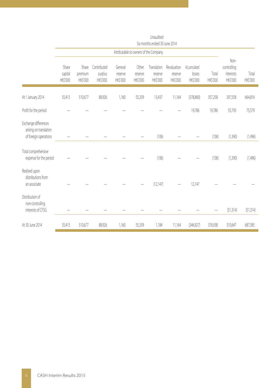|                                                                         | Six months ended 30 June 2014         |                              |                                    |                                |                              |                                    |                                    |                                   |                   |                                              |                   |
|-------------------------------------------------------------------------|---------------------------------------|------------------------------|------------------------------------|--------------------------------|------------------------------|------------------------------------|------------------------------------|-----------------------------------|-------------------|----------------------------------------------|-------------------|
|                                                                         | Attributable to owners of the Company |                              |                                    |                                |                              |                                    |                                    |                                   |                   |                                              |                   |
|                                                                         | Share<br>capital<br>HK\$'000          | Share<br>premium<br>HK\$'000 | Contributed<br>surplus<br>HK\$'000 | General<br>reserve<br>HK\$'000 | Other<br>reserve<br>HK\$'000 | Translation<br>reserve<br>HK\$'000 | Revaluation<br>reserve<br>HK\$'000 | Accumulated<br>losses<br>HK\$'000 | Total<br>HK\$'000 | Non-<br>controlling<br>interests<br>HK\$'000 | Total<br>HK\$'000 |
| At 1 January 2014                                                       | 55,415                                | 510,677                      | 88,926                             | 1,160                          | 55,339                       | 13,437                             | 11,164                             | (378, 860)                        | 357,258           | 307,558                                      | 664,816           |
| Profit for the period                                                   |                                       |                              |                                    |                                |                              |                                    |                                    | 19,786                            | 19,786            | 55,793                                       | 75,579            |
| Exchange differences<br>arising on translation<br>of foreign operations |                                       |                              |                                    |                                |                              | (106)                              |                                    |                                   | (106)             | (1,390)                                      | (1,496)           |
| Total comprehensive<br>expense for the period                           |                                       |                              |                                    |                                |                              | (106)                              |                                    |                                   | (106)             | (1,390)                                      | (1,496)           |
| Realised upon<br>distributions from<br>an associate                     |                                       |                              |                                    |                                |                              | (12, 147)                          |                                    | 12,147                            |                   |                                              |                   |
| Distribution of<br>non-controlling<br>interests of CFSG                 |                                       |                              |                                    |                                |                              |                                    |                                    |                                   |                   | (51,314)                                     | (51,314)          |
| At 30 June 2014                                                         | 55,415                                | 510,677                      | 88,926                             | 1,160                          | 55,339                       | 1,184                              | 11,164                             | (346, 927)                        | 376,938           | 310,647                                      | 687,585           |

Unaudited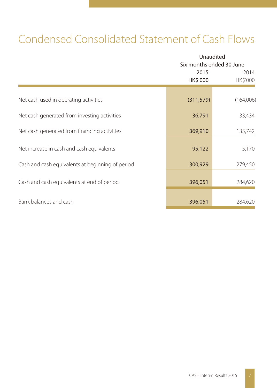# Condensed Consolidated Statement of Cash Flows

|                                                  | Unaudited<br>Six months ended 30 June |                  |  |  |
|--------------------------------------------------|---------------------------------------|------------------|--|--|
|                                                  | 2015<br>HK\$'000                      | 2014<br>HK\$'000 |  |  |
| Net cash used in operating activities            | (311, 579)                            | (164,006)        |  |  |
| Net cash generated from investing activities     | 36,791                                | 33,434           |  |  |
| Net cash generated from financing activities     | 369,910                               | 135,742          |  |  |
| Net increase in cash and cash equivalents        | 95,122                                | 5,170            |  |  |
| Cash and cash equivalents at beginning of period | 300,929                               | 279,450          |  |  |
| Cash and cash equivalents at end of period       | 396,051                               | 284,620          |  |  |
| Bank balances and cash                           | 396,051                               | 284,620          |  |  |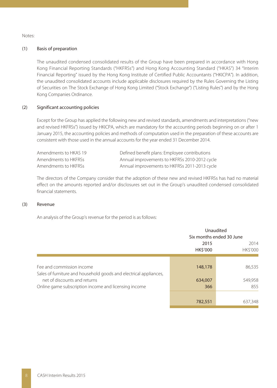Notes:

### (1) Basis of preparation

The unaudited condensed consolidated results of the Group have been prepared in accordance with Hong Kong Financial Reporting Standards ("HKFRSs") and Hong Kong Accounting Standard ("HKAS") 34 "Interim Financial Reporting" issued by the Hong Kong Institute of Certified Public Accountants ("HKICPA"). In addition, the unaudited consolidated accounts include applicable disclosures required by the Rules Governing the Listing of Securities on The Stock Exchange of Hong Kong Limited ("Stock Exchange") ("Listing Rules") and by the Hong Kong Companies Ordinance.

#### (2) Significant accounting policies

Except for the Group has applied the following new and revised standards, amendments and interpretations ("new and revised HKFRSs") issued by HKICPA, which are mandatory for the accounting periods beginning on or after 1 January 2015, the accounting policies and methods of computation used in the preparation of these accounts are consistent with those used in the annual accounts for the year ended 31 December 2014.

| Amendments to HKAS 19 | Defined benefit plans: Employee contributions |
|-----------------------|-----------------------------------------------|
| Amendments to HKFRSs  | Annual improvements to HKFRSs 2010-2012 cycle |
| Amendments to HKFRSs  | Annual improvements to HKFRSs 2011-2013 cycle |

The directors of the Company consider that the adoption of these new and revised HKFRSs has had no material effect on the amounts reported and/or disclosures set out in the Group's unaudited condensed consolidated financial statements.

#### (3) Revenue

An analysis of the Group's revenue for the period is as follows:

|                                                                                                |                        | Unaudited<br>Six months ended 30 June |  |  |
|------------------------------------------------------------------------------------------------|------------------------|---------------------------------------|--|--|
|                                                                                                | 2015<br><b>HKS'000</b> | 2014<br><b>HK\$'000</b>               |  |  |
| Fee and commission income<br>Sales of furniture and household goods and electrical appliances, | 148,178                | 86,535                                |  |  |
| net of discounts and returns<br>Online game subscription income and licensing income           | 634,007<br>366         | 549,958<br>855                        |  |  |
|                                                                                                | 782,551                | 637,348                               |  |  |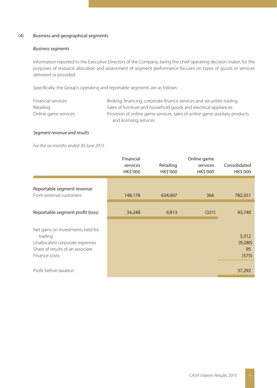### (4) Business and geographical segments

### *Business segments*

Information reported to the Executive Directors of the Company, being the chief operating decision maker, for the purposes of resource allocation and assessment of segment performance focuses on types of goods or services delivered or provided.

Specifically, the Group's operating and reportable segments are as follows:

| Financial services   | Broking, financing, corporate finance services and securities trading      |
|----------------------|----------------------------------------------------------------------------|
| Retailing            | Sales of furniture and household goods and electrical appliances           |
| Online game services | Provision of online game services, sales of online game auxiliary products |
|                      | and licensing services                                                     |

### *Segment revenue and results*

*For the six months ended 30 June 2015*

|                                                                                                                                     | Financial<br>services<br>HK\$'000 | Retailing<br>HK\$'000 | Online game<br>services<br>HK\$'000 | Consolidated<br>HK\$'000        |
|-------------------------------------------------------------------------------------------------------------------------------------|-----------------------------------|-----------------------|-------------------------------------|---------------------------------|
| Reportable segment revenue<br>From external customers                                                                               | 148,178                           | 634,007               | 366                                 | 782,551                         |
| Reportable segment profit (loss)                                                                                                    | 34,248                            | 9,813                 | (321)                               | 43,740                          |
| Net gains on investments held for<br>trading<br>Unallocated corporate expenses<br>Share of results of an associate<br>Finance costs |                                   |                       |                                     | 3,312<br>(9,280)<br>95<br>(575) |
| Profit before taxation                                                                                                              |                                   |                       |                                     | 37,292                          |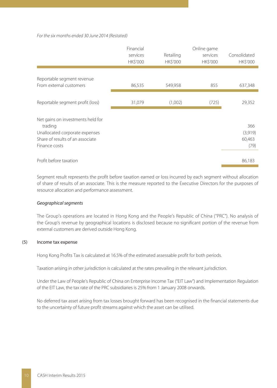#### *For the six months ended 30 June 2014 (Restated)*

|                                                                                                                                     | Financial<br>services<br>HK\$'000 | Retailing<br><b>HK\$'000</b> | Online game<br>services<br><b>HK\$'000</b> | Consolidated<br><b>HK\$'000</b>  |
|-------------------------------------------------------------------------------------------------------------------------------------|-----------------------------------|------------------------------|--------------------------------------------|----------------------------------|
| Reportable segment revenue<br>From external customers                                                                               | 86,535                            | 549,958                      | 855                                        | 637,348                          |
| Reportable segment profit (loss)                                                                                                    | 31,079                            | (1,002)                      | (725)                                      | 29,352                           |
| Net gains on investments held for<br>trading<br>Unallocated corporate expenses<br>Share of results of an associate<br>Finance costs |                                   |                              |                                            | 366<br>(3,919)<br>60,463<br>(79) |
| Profit before taxation                                                                                                              |                                   |                              |                                            | 86,183                           |

Segment result represents the profit before taxation earned or loss incurred by each segment without allocation of share of results of an associate. This is the measure reported to the Executive Directors for the purposes of resource allocation and performance assessment.

### *Geographical segments*

The Group's operations are located in Hong Kong and the People's Republic of China ("PRC"). No analysis of the Group's revenue by geographical locations is disclosed because no significant portion of the revenue from external customers are derived outside Hong Kong.

#### (5) Income tax expense

Hong Kong Profits Tax is calculated at 16.5% of the estimated assessable profit for both periods.

Taxation arising in other jurisdiction is calculated at the rates prevailing in the relevant jurisdiction.

Under the Law of People's Republic of China on Enterprise Income Tax ("EIT Law") and Implementation Regulation of the EIT Law, the tax rate of the PRC subsidiaries is 25% from 1 January 2008 onwards.

No deferred tax asset arising from tax losses brought forward has been recognised in the financial statements due to the uncertainty of future profit streams against which the asset can be utilised.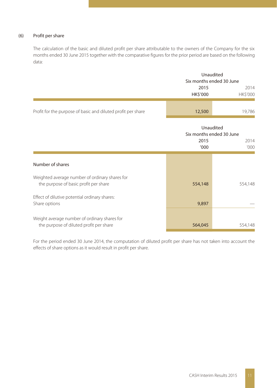### (6) Profit per share

The calculation of the basic and diluted profit per share attributable to the owners of the Company for the six months ended 30 June 2015 together with the comparative figures for the prior period are based on the following data:

|                                                              | Unaudited                |          |  |
|--------------------------------------------------------------|--------------------------|----------|--|
|                                                              | Six months ended 30 June |          |  |
|                                                              | 2015                     | 2014     |  |
|                                                              | HK\$'000                 | HK\$'000 |  |
|                                                              |                          |          |  |
| Profit for the purpose of basic and diluted profit per share | 12,500                   | 19.786   |  |
|                                                              |                          |          |  |

|                                                                                         |              | Unaudited<br>Six months ended 30 June |  |  |
|-----------------------------------------------------------------------------------------|--------------|---------------------------------------|--|--|
|                                                                                         | 2015<br>'000 | 2014<br>'000                          |  |  |
| Number of shares                                                                        |              |                                       |  |  |
| Weighted average number of ordinary shares for<br>the purpose of basic profit per share | 554,148      | 554,148                               |  |  |
| Effect of dilutive potential ordinary shares:<br>Share options                          | 9,897        |                                       |  |  |
| Weight average number of ordinary shares for<br>the purpose of diluted profit per share | 564,045      | 554,148                               |  |  |

For the period ended 30 June 2014, the computation of diluted profit per share has not taken into account the effects of share options as it would result in profit per share.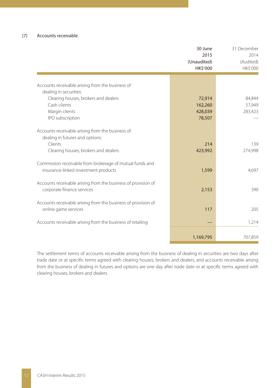|                                                                            | 30 June<br>2015<br>(Unaudited)<br>HK\$'000 | 31 December<br>2014<br>(Audited)<br>HK\$'000 |
|----------------------------------------------------------------------------|--------------------------------------------|----------------------------------------------|
|                                                                            |                                            |                                              |
| Accounts receivable arising from the business of<br>dealing in securities: |                                            |                                              |
| Clearing houses, brokers and dealers                                       | 72,914                                     | 84,844                                       |
| Cash clients                                                               | 162,260                                    | 57,949                                       |
| Margin clients                                                             | 428,039                                    | 283,423                                      |
| IPO subscription                                                           | 78,507                                     |                                              |
| Accounts receivable arising from the business of                           |                                            |                                              |
| dealing in futures and options:                                            |                                            |                                              |
| Clients                                                                    | 214                                        | 139                                          |
| Clearing houses, brokers and dealers                                       | 423,992                                    | 274,998                                      |
| Commission receivable from brokerage of mutual funds and                   |                                            |                                              |
| insurance-linked investment products                                       | 1,599                                      | 4.697                                        |
|                                                                            |                                            |                                              |
| Accounts receivable arising from the business of provision of              |                                            |                                              |
| corporate finance services                                                 | 2,153                                      | 390                                          |
| Accounts receivable arising from the business of provision of              |                                            |                                              |
| online game services                                                       | 117                                        | 205                                          |
|                                                                            |                                            |                                              |
| Accounts receivable arising from the business of retailing                 |                                            | 1,214                                        |
|                                                                            |                                            |                                              |
|                                                                            | 1,169,795                                  | 707,859                                      |

The settlement terms of accounts receivable arising from the business of dealing in securities are two days after trade date or at specific terms agreed with clearing houses, brokers and dealers, and accounts receivable arising from the business of dealing in futures and options are one day after trade date or at specific terms agreed with clearing houses, brokers and dealers.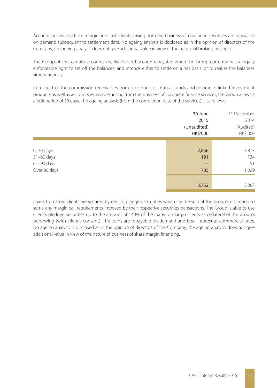Accounts receivable from margin and cash clients arising from the business of dealing in securities are repayable on demand subsequent to settlement date. No ageing analysis is disclosed as in the opinion of directors of the Company, the ageing analysis does not give additional value in view of the nature of broking business.

The Group offsets certain accounts receivable and accounts payable when the Group currently has a legally enforceable right to set off the balances; and intends either to settle on a net basis, or to realise the balances simultaneously.

In respect of the commission receivables from brokerage of mutual funds and insurance-linked investment products as well as accounts receivable arising from the business of corporate finance services, the Group allows a credit period of 30 days. The ageing analysis (from the completion date of the services) is as follows:

|                                                                 | 30 June<br>2015<br>(Unaudited)<br>HK\$'000 | 31 December<br>2014<br>(Audited)<br>HK\$'000 |
|-----------------------------------------------------------------|--------------------------------------------|----------------------------------------------|
| $0 - 30$ days<br>$31-60$ days<br>$61 - 90$ days<br>Over 90 days | 2,856<br>191<br>705                        | 3,873<br>134<br>51<br>1,029                  |
|                                                                 | 3,752                                      | 5,087                                        |

Loans to margin clients are secured by clients' pledged securities which can be sold at the Group's discretion to settle any margin call requirements imposed by their respective securities transactions. The Group is able to use client's pledged securities up to the amount of 140% of the loans to margin clients as collateral of the Group's borrowing (with client's consent). The loans are repayable on demand and bear interest at commercial rates. No ageing analysis is disclosed as in the opinion of directors of the Company, the ageing analysis does not give additional value in view of the nature of business of share margin financing.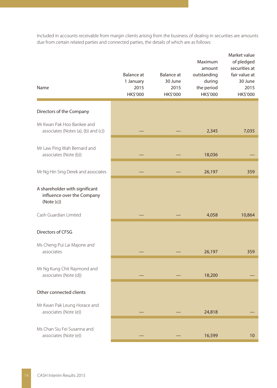Included in accounts receivable from margin clients arising from the business of dealing in securities are amounts due from certain related parties and connected parties, the details of which are as follows:

| Name                                                                       | Balance at<br>1 January<br>2015<br>HK\$'000 | Balance at<br>30 June<br>2015<br>HK\$'000 | Maximum<br>amount<br>outstanding<br>during<br>the period<br>HK\$'000 | Market value<br>of pledged<br>securities at<br>fair value at<br>30 June<br>2015<br>HK\$'000 |
|----------------------------------------------------------------------------|---------------------------------------------|-------------------------------------------|----------------------------------------------------------------------|---------------------------------------------------------------------------------------------|
| Directors of the Company                                                   |                                             |                                           |                                                                      |                                                                                             |
| Mr Kwan Pak Hoo Bankee and<br>associates (Notes (a), (b) and (c))          |                                             |                                           | 2,345                                                                | 7,035                                                                                       |
| Mr Law Ping Wah Bernard and<br>associates (Note (b))                       |                                             |                                           | 18,036                                                               |                                                                                             |
| Mr Ng Hin Sing Derek and associates                                        |                                             |                                           | 26,197                                                               | 359                                                                                         |
| A shareholder with significant<br>influence over the Company<br>(Note (c)) |                                             |                                           |                                                                      |                                                                                             |
| Cash Guardian Limited                                                      |                                             |                                           | 4,058                                                                | 10,864                                                                                      |
| Directors of CFSG                                                          |                                             |                                           |                                                                      |                                                                                             |
| Ms Cheng Pui Lai Majone and<br>associates                                  |                                             |                                           | 26,197                                                               | 359                                                                                         |
| Mr Ng Kung Chit Raymond and<br>associates (Note (d))                       |                                             |                                           | 18,200                                                               |                                                                                             |
| Other connected clients                                                    |                                             |                                           |                                                                      |                                                                                             |
| Mr Kwan Pak Leung Horace and<br>associates (Note (e))                      |                                             |                                           | 24,818                                                               |                                                                                             |
| Ms Chan Siu Fei Susanna and<br>associates (Note (e))                       |                                             |                                           | 16,599                                                               | 10                                                                                          |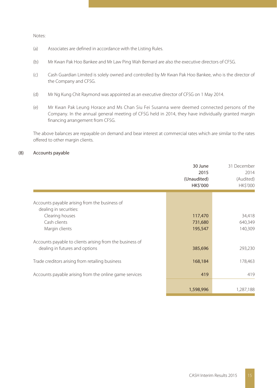Notes:

- (a) Associates are defined in accordance with the Listing Rules.
- (b) Mr Kwan Pak Hoo Bankee and Mr Law Ping Wah Bernard are also the executive directors of CFSG.
- (c) Cash Guardian Limited is solely owned and controlled by Mr Kwan Pak Hoo Bankee, who is the director of the Company and CFSG.
- (d) Mr Ng Kung Chit Raymond was appointed as an executive director of CFSG on 1 May 2014.
- (e) Mr Kwan Pak Leung Horace and Ms Chan Siu Fei Susanna were deemed connected persons of the Company. In the annual general meeting of CFSG held in 2014, they have individually granted margin financing arrangement from CFSG.

The above balances are repayable on demand and bear interest at commercial rates which are similar to the rates offered to other margin clients.

### (8) Accounts payable

|                                                                                                                              | 30 June<br>2015<br>(Unaudited)<br><b>HK\$'000</b> | 31 December<br>2014<br>(Audited)<br><b>HK\$'000</b> |
|------------------------------------------------------------------------------------------------------------------------------|---------------------------------------------------|-----------------------------------------------------|
| Accounts payable arising from the business of<br>dealing in securities:<br>Clearing houses<br>Cash clients<br>Margin clients | 117,470<br>731,680<br>195,547                     | 34,418<br>640,349<br>140,309                        |
| Accounts payable to clients arising from the business of<br>dealing in futures and options                                   | 385,696                                           | 293,230                                             |
| Trade creditors arising from retailing business                                                                              | 168,184                                           | 178,463                                             |
| Accounts payable arising from the online game services                                                                       | 419                                               | 419                                                 |
|                                                                                                                              | 1,598,996                                         | 1,287,188                                           |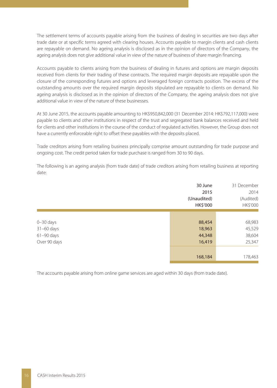The settlement terms of accounts payable arising from the business of dealing in securities are two days after trade date or at specific terms agreed with clearing houses. Accounts payable to margin clients and cash clients are repayable on demand. No ageing analysis is disclosed as in the opinion of directors of the Company, the ageing analysis does not give additional value in view of the nature of business of share margin financing.

Accounts payable to clients arising from the business of dealing in futures and options are margin deposits received from clients for their trading of these contracts. The required margin deposits are repayable upon the closure of the corresponding futures and options and leveraged foreign contracts position. The excess of the outstanding amounts over the required margin deposits stipulated are repayable to clients on demand. No ageing analysis is disclosed as in the opinion of directors of the Company, the ageing analysis does not give additional value in view of the nature of these businesses.

At 30 June 2015, the accounts payable amounting to HK\$950,842,000 (31 December 2014: HK\$792,117,000) were payable to clients and other institutions in respect of the trust and segregated bank balances received and held for clients and other institutions in the course of the conduct of regulated activities. However, the Group does not have a currently enforceable right to offset these payables with the deposits placed.

Trade creditors arising from retailing business principally comprise amount outstanding for trade purpose and ongoing cost. The credit period taken for trade purchase is ranged from 30 to 90 days.

The following is an ageing analysis (from trade date) of trade creditors arising from retailing business at reporting date:

|                                                                 | (Unaudited) | 31 December<br>30 June<br>2014<br>2015<br>(Audited)<br>HK\$'000<br>HK\$'000  |
|-----------------------------------------------------------------|-------------|------------------------------------------------------------------------------|
| $0 - 30$ days<br>$31-60$ days<br>$61 - 90$ days<br>Over 90 days |             | 68,983<br>88,454<br>45,529<br>18,963<br>38,604<br>44,348<br>25,347<br>16,419 |
|                                                                 |             | 178,463<br>168,184                                                           |

The accounts payable arising from online game services are aged within 30 days (from trade date).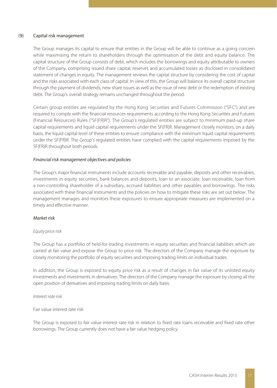### (9) Capital risk management

The Group manages its capital to ensure that entities in the Group will be able to continue as a going concern while maximising the return to shareholders through the optimisation of the debt and equity balance. The capital structure of the Group consists of debt, which includes the borrowings and equity attributable to owners of the Company, comprising issued share capital, reserves and accumulated losses as disclosed in consolidated statement of changes in equity. The management reviews the capital structure by considering the cost of capital and the risks associated with each class of capital. In view of this, the Group will balance its overall capital structure through the payment of dividends, new share issues as well as the issue of new debt or the redemption of existing debt. The Group's overall strategy remains unchanged throughout the period.

Certain group entities are regulated by the Hong Kong Securities and Futures Commission ("SFC") and are required to comply with the financial resources requirements according to the Hong Kong Securities and Futures (Financial Resources) Rules ("SF(FR)R"). The Group's regulated entities are subject to minimum paid-up share capital requirements and liquid capital requirements under the SF(FR)R. Management closely monitors, on a daily basis, the liquid capital level of these entities to ensure compliance with the minimum liquid capital requirements under the SF(FR)R. The Group's regulated entities have complied with the capital requirements imposed by the SF(FR)R throughout both periods.

#### *Financial risk management objectives and policies*

The Group's major financial instruments include accounts receivable and payable, deposits and other receivables, investments in equity securities, bank balances and deposits, loan to an associate, loan receivable, loan from a non-controlling shareholder of a subsidiary, accrued liabilities and other payables and borrowings. The risks associated with these financial instruments and the policies on how to mitigate these risks are set out below. The management manages and monitors these exposures to ensure appropriate measures are implemented on a timely and effective manner.

### *Market risk*

### *Equity price risk*

The Group has a portfolio of held-for-trading investments in equity securities and financial liabilities which are carried at fair value and expose the Group to price risk. The directors of the Company manage the exposure by closely monitoring the portfolio of equity securities and imposing trading limits on individual trades.

In addition, the Group is exposed to equity price risk as a result of changes in fair value of its unlisted equity investments and investments in derivatives. The directors of the Company manage the exposure by closing all the open position of derivatives and imposing trading limits on daily basis.

*Interest rate risk*

Fair value interest rate risk

The Group is exposed to fair value interest rate risk in relation to fixed rate loans receivable and fixed rate other borrowings. The Group currently does not have a fair value hedging policy.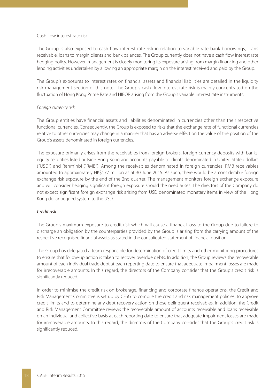#### Cash flow interest rate risk

The Group is also exposed to cash flow interest rate risk in relation to variable-rate bank borrowings, loans receivable, loans to margin clients and bank balances. The Group currently does not have a cash flow interest rate hedging policy. However, management is closely monitoring its exposure arising from margin financing and other lending activities undertaken by allowing an appropriate margin on the interest received and paid by the Group.

The Group's exposures to interest rates on financial assets and financial liabilities are detailed in the liquidity risk management section of this note. The Group's cash flow interest rate risk is mainly concentrated on the fluctuation of Hong Kong Prime Rate and HIBOR arising from the Group's variable interest rate instruments.

### *Foreign currency risk*

The Group entities have financial assets and liabilities denominated in currencies other than their respective functional currencies. Consequently, the Group is exposed to risks that the exchange rate of functional currencies relative to other currencies may change in a manner that has an adverse effect on the value of the position of the Group's assets denominated in foreign currencies.

The exposure primarily arises from the receivables from foreign brokers, foreign currency deposits with banks, equity securities listed outside Hong Kong and accounts payable to clients denominated in United Stated dollars ("USD") and Renminbi ("RMB"). Among the receivables denominated in foreign currencies, RMB receivables amounted to approximately HK\$177 million as at 30 June 2015. As such, there would be a considerable foreign exchange risk exposure by the end of the 2nd quarter. The management monitors foreign exchange exposure and will consider hedging significant foreign exposure should the need arises. The directors of the Company do not expect significant foreign exchange risk arising from USD denominated monetary items in view of the Hong Kong dollar pegged system to the USD.

### *Credit risk*

The Group's maximum exposure to credit risk which will cause a financial loss to the Group due to failure to discharge an obligation by the counterparties provided by the Group is arising from the carrying amount of the respective recognised financial assets as stated in the consolidated statement of financial position.

The Group has delegated a team responsible for determination of credit limits and other monitoring procedures to ensure that follow-up action is taken to recover overdue debts. In addition, the Group reviews the recoverable amount of each individual trade debt at each reporting date to ensure that adequate impairment losses are made for irrecoverable amounts. In this regard, the directors of the Company consider that the Group's credit risk is significantly reduced.

In order to minimise the credit risk on brokerage, financing and corporate finance operations, the Credit and Risk Management Committee is set up by CFSG to compile the credit and risk management policies, to approve credit limits and to determine any debt recovery action on those delinquent receivables. In addition, the Credit and Risk Management Committee reviews the recoverable amount of accounts receivable and loans receivable on an individual and collective basis at each reporting date to ensure that adequate impairment losses are made for irrecoverable amounts. In this regard, the directors of the Company consider that the Group's credit risk is significantly reduced.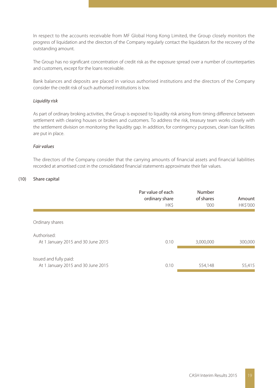In respect to the accounts receivable from MF Global Hong Kong Limited, the Group closely monitors the progress of liquidation and the directors of the Company regularly contact the liquidators for the recovery of the outstanding amount.

The Group has no significant concentration of credit risk as the exposure spread over a number of counterparties and customers, except for the loans receivable.

Bank balances and deposits are placed in various authorised institutions and the directors of the Company consider the credit risk of such authorised institutions is low.

#### *Liquidity risk*

As part of ordinary broking activities, the Group is exposed to liquidity risk arising from timing difference between settlement with clearing houses or brokers and customers. To address the risk, treasury team works closely with the settlement division on monitoring the liquidity gap. In addition, for contingency purposes, clean loan facilities are put in place.

#### *Fair values*

The directors of the Company consider that the carrying amounts of financial assets and financial liabilities recorded at amortised cost in the consolidated financial statements approximate their fair values.

### (10) Share capital

|                                                              | Par value of each<br>ordinary share<br><b>HKS</b> | Number<br>of shares<br>'000' | Amount<br><b>HK\$'000</b> |
|--------------------------------------------------------------|---------------------------------------------------|------------------------------|---------------------------|
| Ordinary shares                                              |                                                   |                              |                           |
| Authorised:<br>At 1 January 2015 and 30 June 2015            | 0.10                                              | 3,000,000                    | 300,000                   |
| Issued and fully paid:<br>At 1 January 2015 and 30 June 2015 | 0.10                                              | 554,148                      | 55,415                    |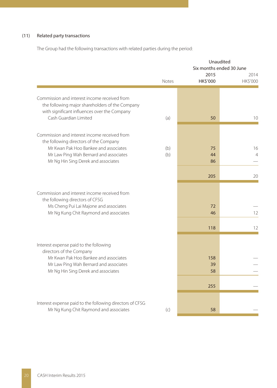### (11) Related party transactions

The Group had the following transactions with related parties during the period:

|                                                                                                                                                                                                                  |              | Unaudited<br>Six months ended 30 June |                      |
|------------------------------------------------------------------------------------------------------------------------------------------------------------------------------------------------------------------|--------------|---------------------------------------|----------------------|
|                                                                                                                                                                                                                  | <b>Notes</b> | 2015<br><b>HK\$'000</b>               | 2014<br>HK\$'000     |
| Commission and interest income received from<br>the following major shareholders of the Company                                                                                                                  |              |                                       |                      |
| with significant influences over the Company<br>Cash Guardian Limited                                                                                                                                            | (a)          | 50                                    | 10                   |
| Commission and interest income received from<br>the following directors of the Company<br>Mr Kwan Pak Hoo Bankee and associates<br>Mr Law Ping Wah Bernard and associates<br>Mr Ng Hin Sing Derek and associates | (b)<br>(b)   | 75<br>44<br>86                        | 16<br>$\overline{4}$ |
|                                                                                                                                                                                                                  |              | 205                                   | 20                   |
| Commission and interest income received from<br>the following directors of CFSG<br>Ms Cheng Pui Lai Majone and associates                                                                                        |              | 72                                    |                      |
| Mr Ng Kung Chit Raymond and associates                                                                                                                                                                           |              | 46<br>118                             | 12<br>12             |
| Interest expense paid to the following<br>directors of the Company                                                                                                                                               |              |                                       |                      |
| Mr Kwan Pak Hoo Bankee and associates<br>Mr Law Ping Wah Bernard and associates<br>Mr Ng Hin Sing Derek and associates                                                                                           |              | 158<br>39<br>58                       |                      |
|                                                                                                                                                                                                                  |              | 255                                   |                      |
| Interest expense paid to the following directors of CFSG<br>Mr Ng Kung Chit Raymond and associates                                                                                                               | (c)          | 58                                    |                      |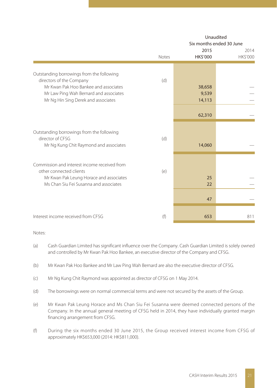|                                                                                                                                                                                                 |       | Unaudited<br>Six months ended 30 June |                         |  |  |
|-------------------------------------------------------------------------------------------------------------------------------------------------------------------------------------------------|-------|---------------------------------------|-------------------------|--|--|
|                                                                                                                                                                                                 | Notes | 2015<br>HK\$'000                      | 2014<br><b>HK\$'000</b> |  |  |
| Outstanding borrowings from the following<br>directors of the Company<br>Mr Kwan Pak Hoo Bankee and associates<br>Mr Law Ping Wah Bernard and associates<br>Mr Ng Hin Sing Derek and associates | (d)   | 38,658<br>9,539<br>14,113             |                         |  |  |
|                                                                                                                                                                                                 |       | 62,310                                |                         |  |  |
| Outstanding borrowings from the following<br>director of CESG<br>Mr Ng Kung Chit Raymond and associates                                                                                         | (d)   | 14,060                                |                         |  |  |
| Commission and interest income received from<br>other connected clients<br>Mr Kwan Pak Leung Horace and associates<br>Ms Chan Siu Fei Susanna and associates                                    | (e)   | 25<br>22                              |                         |  |  |
|                                                                                                                                                                                                 |       | 47                                    |                         |  |  |
| Interest income received from CESG                                                                                                                                                              | (f)   | 653                                   | 811                     |  |  |

### Notes:

- (a) Cash Guardian Limited has significant influence over the Company. Cash Guardian Limited is solely owned and controlled by Mr Kwan Pak Hoo Bankee, an executive director of the Company and CFSG.
- (b) Mr Kwan Pak Hoo Bankee and Mr Law Ping Wah Bernard are also the executive director of CFSG.
- (c) Mr Ng Kung Chit Raymond was appointed as director of CFSG on 1 May 2014.
- (d) The borrowings were on normal commercial terms and were not secured by the assets of the Group.
- (e) Mr Kwan Pak Leung Horace and Ms Chan Siu Fei Susanna were deemed connected persons of the Company. In the annual general meeting of CFSG held in 2014, they have individually granted margin financing arrangement from CFSG.
- (f) During the six months ended 30 June 2015, the Group received interest income from CFSG of approximately HK\$653,000 (2014: HK\$811,000).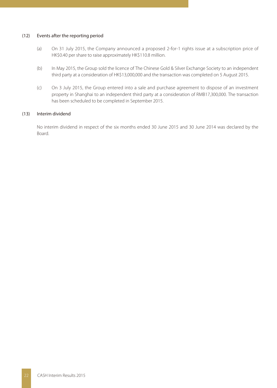#### (12) Events after the reporting period

- (a) On 31 July 2015, the Company announced a proposed 2-for-1 rights issue at a subscription price of HK\$0.40 per share to raise approximately HK\$110.8 million.
- (b) In May 2015, the Group sold the licence of The Chinese Gold & Silver Exchange Society to an independent third party at a consideration of HK\$13,000,000 and the transaction was completed on 5 August 2015.
- (c) On 3 July 2015, the Group entered into a sale and purchase agreement to dispose of an investment property in Shanghai to an independent third party at a consideration of RMB17,300,000. The transaction has been scheduled to be completed in September 2015.

### (13) Interim dividend

No interim dividend in respect of the six months ended 30 June 2015 and 30 June 2014 was declared by the Board.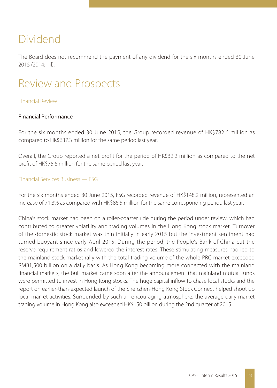# Dividend

The Board does not recommend the payment of any dividend for the six months ended 30 June 2015 (2014: nil).

# Review and Prospects

## Financial Review

# Financial Performance

For the six months ended 30 June 2015, the Group recorded revenue of HK\$782.6 million as compared to HK\$637.3 million for the same period last year.

Overall, the Group reported a net profit for the period of HK\$32.2 million as compared to the net profit of HK\$75.6 million for the same period last year.

## Financial Services Business — FSG

For the six months ended 30 June 2015, FSG recorded revenue of HK\$148.2 million, represented an increase of 71.3% as compared with HK\$86.5 million for the same corresponding period last year.

China's stock market had been on a roller-coaster ride during the period under review, which had contributed to greater volatility and trading volumes in the Hong Kong stock market. Turnover of the domestic stock market was thin initially in early 2015 but the investment sentiment had turned buoyant since early April 2015. During the period, the People's Bank of China cut the reserve requirement ratios and lowered the interest rates. These stimulating measures had led to the mainland stock market rally with the total trading volume of the whole PRC market exceeded RMB1,500 billion on a daily basis. As Hong Kong becoming more connected with the mainland financial markets, the bull market came soon after the announcement that mainland mutual funds were permitted to invest in Hong Kong stocks. The huge capital inflow to chase local stocks and the report on earlier-than-expected launch of the Shenzhen-Hong Kong Stock Connect helped shoot up local market activities. Surrounded by such an encouraging atmosphere, the average daily market trading volume in Hong Kong also exceeded HK\$150 billion during the 2nd quarter of 2015.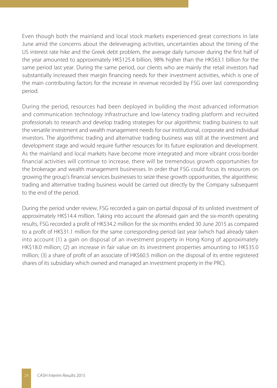Even though both the mainland and local stock markets experienced great corrections in late June amid the concerns about the deleveraging activities, uncertainties about the timing of the US interest rate hike and the Greek debt problem, the average daily turnover during the first half of the year amounted to approximately HK\$125.4 billion, 98% higher than the HK\$63.1 billion for the same period last year. During the same period, our clients who are mainly the retail investors had substantially increased their margin financing needs for their investment activities, which is one of the main contributing factors for the increase in revenue recorded by FSG over last corresponding period.

During the period, resources had been deployed in building the most advanced information and communication technology infrastructure and low-latency trading platform and recruited professionals to research and develop trading strategies for our algorithmic trading business to suit the versatile investment and wealth management needs for our institutional, corporate and individual investors. The algorithmic trading and alternative trading business was still at the investment and development stage and would require further resources for its future exploration and development. As the mainland and local markets have become more integrated and more vibrant cross-border financial activities will continue to increase, there will be tremendous growth opportunities for the brokerage and wealth management businesses. In order that FSG could focus its resources on growing the group's financial services businesses to seize these growth opportunities, the algorithmic trading and alternative trading business would be carried out directly by the Company subsequent to the end of the period.

During the period under review, FSG recorded a gain on partial disposal of its unlisted investment of approximately HK\$14.4 million. Taking into account the aforesaid gain and the six-month operating results, FSG recorded a profit of HK\$34.2 million for the six months ended 30 June 2015 as compared to a profit of HK\$31.1 million for the same corresponding period last year (which had already taken into account (1) a gain on disposal of an investment property in Hong Kong of approximately HK\$18.0 million; (2) an increase in fair value on its investment properties amounting to HK\$35.0 million; (3) a share of profit of an associate of HK\$60.5 million on the disposal of its entire registered shares of its subsidiary which owned and managed an investment property in the PRC).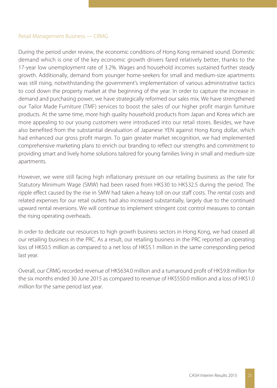## Retail Management Business — CRMG

During the period under review, the economic conditions of Hong Kong remained sound. Domestic demand which is one of the key economic growth drivers fared relatively better, thanks to the 17-year low unemployment rate of 3.2%. Wages and household incomes sustained further steady growth. Additionally, demand from younger home-seekers for small and medium-size apartments was still rising, notwithstanding the government's implementation of various administrative tactics to cool down the property market at the beginning of the year. In order to capture the increase in demand and purchasing power, we have strategically reformed our sales mix. We have strengthened our Tailor Made Furniture (TMF) services to boost the sales of our higher profit margin furniture products. At the same time, more high quality household products from Japan and Korea which are more appealing to our young customers were introduced into our retail stores. Besides, we have also benefited from the substantial devaluation of Japanese YEN against Hong Kong dollar, which had enhanced our gross profit margin. To gain greater market recognition, we had implemented comprehensive marketing plans to enrich our branding to reflect our strengths and commitment to providing smart and lively home solutions tailored for young families living in small and medium-size apartments.

However, we were still facing high inflationary pressure on our retailing business as the rate for Statutory Minimum Wage (SMW) had been raised from HK\$30 to HK\$32.5 during the period. The ripple effect caused by the rise in SMW had taken a heavy toll on our staff costs. The rental costs and related expenses for our retail outlets had also increased substantially, largely due to the continued upward rental reversions. We will continue to implement stringent cost control measures to contain the rising operating overheads.

In order to dedicate our resources to high growth business sectors in Hong Kong, we had ceased all our retailing business in the PRC. As a result, our retailing business in the PRC reported an operating loss of HK\$0.5 million as compared to a net loss of HK\$5.1 million in the same corresponding period last year.

Overall, our CRMG recorded revenue of HK\$634.0 million and a turnaround profit of HK\$9.8 million for the six months ended 30 June 2015 as compared to revenue of HK\$550.0 million and a loss of HK\$1.0 million for the same period last year.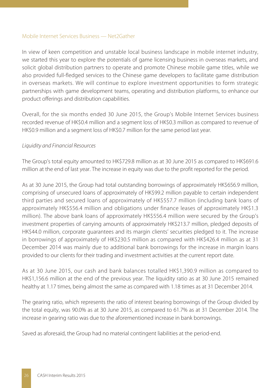## Mobile Internet Services Business — Net2Gather

In view of keen competition and unstable local business landscape in mobile internet industry, we started this year to explore the potentials of game licensing business in overseas markets, and solicit global distribution partners to operate and promote Chinese mobile game titles, while we also provided full-fledged services to the Chinese game developers to facilitate game distribution in overseas markets. We will continue to explore investment opportunities to form strategic partnerships with game development teams, operating and distribution platforms, to enhance our product offerings and distribution capabilities.

Overall, for the six months ended 30 June 2015, the Group's Mobile Internet Services business recorded revenue of HK\$0.4 million and a segment loss of HK\$0.3 million as compared to revenue of HK\$0.9 million and a segment loss of HK\$0.7 million for the same period last year.

## *Liquidity and Financial Resources*

The Group's total equity amounted to HK\$729.8 million as at 30 June 2015 as compared to HK\$691.6 million at the end of last year. The increase in equity was due to the profit reported for the period.

As at 30 June 2015, the Group had total outstanding borrowings of approximately HK\$656.9 million, comprising of unsecured loans of approximately of HK\$99.2 million payable to certain independent third parties and secured loans of approximately of HK\$557.7 million (including bank loans of approximately HK\$556.4 million and obligations under finance leases of approximately HK\$1.3 million). The above bank loans of approximately HK\$556.4 million were secured by the Group's investment properties of carrying amounts of approximately HK\$213.7 million, pledged deposits of HK\$44.0 million, corporate guarantees and its margin clients' securities pledged to it. The increase in borrowings of approximately of HK\$230.5 million as compared with HK\$426.4 million as at 31 December 2014 was mainly due to additional bank borrowings for the increase in margin loans provided to our clients for their trading and investment activities at the current report date.

As at 30 June 2015, our cash and bank balances totalled HK\$1,390.9 million as compared to HK\$1,156.6 million at the end of the previous year. The liquidity ratio as at 30 June 2015 remained healthy at 1.17 times, being almost the same as compared with 1.18 times as at 31 December 2014.

The gearing ratio, which represents the ratio of interest bearing borrowings of the Group divided by the total equity, was 90.0% as at 30 June 2015, as compared to 61.7% as at 31 December 2014. The increase in gearing ratio was due to the aforementioned increase in bank borrowings.

Saved as aforesaid, the Group had no material contingent liabilities at the period-end.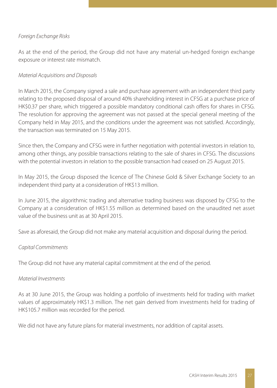# *Foreign Exchange Risks*

As at the end of the period, the Group did not have any material un-hedged foreign exchange exposure or interest rate mismatch.

## *Material Acquisitions and Disposals*

In March 2015, the Company signed a sale and purchase agreement with an independent third party relating to the proposed disposal of around 40% shareholding interest in CFSG at a purchase price of HK\$0.37 per share, which triggered a possible mandatory conditional cash offers for shares in CFSG. The resolution for approving the agreement was not passed at the special general meeting of the Company held in May 2015, and the conditions under the agreement was not satisfied. Accordingly, the transaction was terminated on 15 May 2015.

Since then, the Company and CFSG were in further negotiation with potential investors in relation to, among other things, any possible transactions relating to the sale of shares in CFSG. The discussions with the potential investors in relation to the possible transaction had ceased on 25 August 2015.

In May 2015, the Group disposed the licence of The Chinese Gold & Silver Exchange Society to an independent third party at a consideration of HK\$13 million.

In June 2015, the algorithmic trading and alternative trading business was disposed by CFSG to the Company at a consideration of HK\$1.55 million as determined based on the unaudited net asset value of the business unit as at 30 April 2015.

Save as aforesaid, the Group did not make any material acquisition and disposal during the period.

## *Capital Commitments*

The Group did not have any material capital commitment at the end of the period.

## *Material Investments*

As at 30 June 2015, the Group was holding a portfolio of investments held for trading with market values of approximately HK\$1.3 million. The net gain derived from investments held for trading of HK\$105.7 million was recorded for the period.

We did not have any future plans for material investments, nor addition of capital assets.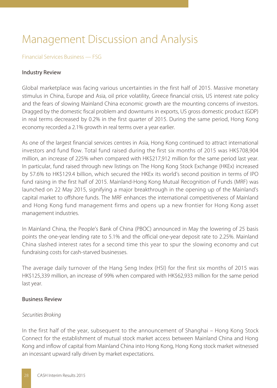# Management Discussion and Analysis

## Financial Services Business — FSG

## Industry Review

Global marketplace was facing various uncertainties in the first half of 2015. Massive monetary stimulus in China, Europe and Asia, oil price volatility, Greece financial crisis, US interest rate policy and the fears of slowing Mainland China economic growth are the mounting concerns of investors. Dragged by the domestic fiscal problem and downturns in exports, US gross domestic product (GDP) in real terms decreased by 0.2% in the first quarter of 2015. During the same period, Hong Kong economy recorded a 2.1% growth in real terms over a year earlier.

As one of the largest financial services centres in Asia, Hong Kong continued to attract international investors and fund flow. Total fund raised during the first six months of 2015 was HK\$708,904 million, an increase of 225% when compared with HK\$217,912 million for the same period last year. In particular, fund raised through new listings on The Hong Kong Stock Exchange (HKEx) increased by 57.6% to HK\$129.4 billion, which secured the HKEx its world's second position in terms of IPO fund raising in the first half of 2015. Mainland-Hong Kong Mutual Recognition of Funds (MRF) was launched on 22 May 2015, signifying a major breakthrough in the opening up of the Mainland's capital market to offshore funds. The MRF enhances the international competitiveness of Mainland and Hong Kong fund management firms and opens up a new frontier for Hong Kong asset management industries.

In Mainland China, the People's Bank of China (PBOC) announced in May the lowering of 25 basis points the one-year lending rate to 5.1% and the official one-year deposit rate to 2.25%. Mainland China slashed interest rates for a second time this year to spur the slowing economy and cut fundraising costs for cash-starved businesses.

The average daily turnover of the Hang Seng Index (HSI) for the first six months of 2015 was HK\$125,339 million, an increase of 99% when compared with HK\$62,933 million for the same period last year.

## Business Review

## *Securities Broking*

In the first half of the year, subsequent to the announcement of Shanghai – Hong Kong Stock Connect for the establishment of mutual stock market access between Mainland China and Hong Kong and inflow of capital from Mainland China into Hong Kong, Hong Kong stock market witnessed an incessant upward rally driven by market expectations.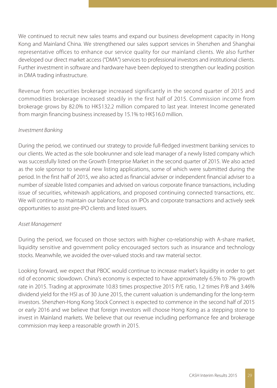We continued to recruit new sales teams and expand our business development capacity in Hong Kong and Mainland China. We strengthened our sales support services in Shenzhen and Shanghai representative offices to enhance our service quality for our mainland clients. We also further developed our direct market access ("DMA") services to professional investors and institutional clients. Further investment in software and hardware have been deployed to strengthen our leading position in DMA trading infrastructure.

Revenue from securities brokerage increased significantly in the second quarter of 2015 and commodities brokerage increased steadily in the first half of 2015. Commission income from brokerage grows by 82.0% to HK\$132.2 million compared to last year. Interest Income generated from margin financing business increased by 15.1% to HK\$16.0 million.

# *Investment Banking*

During the period, we continued our strategy to provide full-fledged investment banking services to our clients. We acted as the sole bookrunner and sole lead manager of a newly listed company which was successfully listed on the Growth Enterprise Market in the second quarter of 2015. We also acted as the sole sponsor to several new listing applications, some of which were submitted during the period. In the first half of 2015, we also acted as financial adviser or independent financial adviser to a number of sizeable listed companies and advised on various corporate finance transactions, including issue of securities, whitewash applications, and proposed continuing connected transactions, etc. We will continue to maintain our balance focus on IPOs and corporate transactions and actively seek opportunities to assist pre-IPO clients and listed issuers.

# *Asset Management*

During the period, we focused on those sectors with higher co-relationship with A-share market, liquidity sensitive and government policy encouraged sectors such as insurance and technology stocks. Meanwhile, we avoided the over-valued stocks and raw material sector.

Looking forward, we expect that PBOC would continue to increase market's liquidity in order to get rid of economic slowdown. China's economy is expected to have approximately 6.5% to 7% growth rate in 2015. Trading at approximate 10.83 times prospective 2015 P/E ratio, 1.2 times P/B and 3.46% dividend yield for the HSI as of 30 June 2015, the current valuation is undemanding for the long-term investors. Shenzhen-Hong Kong Stock Connect is expected to commence in the second half of 2015 or early 2016 and we believe that foreign investors will choose Hong Kong as a stepping stone to invest in Mainland markets. We believe that our revenue including performance fee and brokerage commission may keep a reasonable growth in 2015.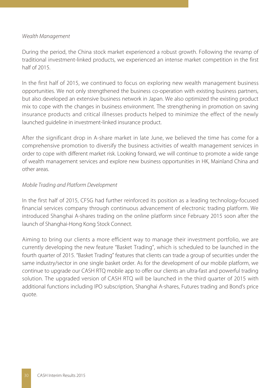## *Wealth Management*

During the period, the China stock market experienced a robust growth. Following the revamp of traditional investment-linked products, we experienced an intense market competition in the first half of 2015.

In the first half of 2015, we continued to focus on exploring new wealth management business opportunities. We not only strengthened the business co-operation with existing business partners, but also developed an extensive business network in Japan. We also optimized the existing product mix to cope with the changes in business environment. The strengthening in promotion on saving insurance products and critical illnesses products helped to minimize the effect of the newly launched guideline in investment-linked insurance product.

After the significant drop in A-share market in late June, we believed the time has come for a comprehensive promotion to diversify the business activities of wealth management services in order to cope with different market risk. Looking forward, we will continue to promote a wide range of wealth management services and explore new business opportunities in HK, Mainland China and other areas.

## *Mobile Trading and Platform Development*

In the first half of 2015, CFSG had further reinforced its position as a leading technology-focused financial services company through continuous advancement of electronic trading platform. We introduced Shanghai A-shares trading on the online platform since February 2015 soon after the launch of Shanghai-Hong Kong Stock Connect.

Aiming to bring our clients a more efficient way to manage their investment portfolio, we are currently developing the new feature "Basket Trading", which is scheduled to be launched in the fourth quarter of 2015. "Basket Trading" features that clients can trade a group of securities under the same industry/sector in one single basket order. As for the development of our mobile platform, we continue to upgrade our CASH RTQ mobile app to offer our clients an ultra-fast and powerful trading solution. The upgraded version of CASH RTQ will be launched in the third quarter of 2015 with additional functions including IPO subscription, Shanghai A-shares, Futures trading and Bond's price quote.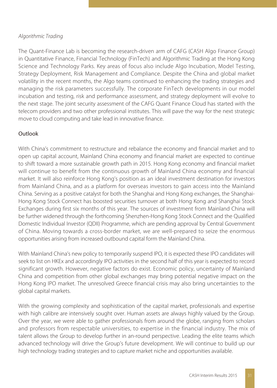# *Algorithmic Trading*

The Quant-Finance Lab is becoming the research-driven arm of CAFG (CASH Algo Finance Group) in Quantitative Finance, Financial Technology (FinTech) and Algorithmic Trading at the Hong Kong Science and Technology Parks. Key areas of focus also include Algo Incubation, Model Testing, Strategy Deployment, Risk Management and Compliance. Despite the China and global market volatility in the recent months, the Algo teams continued to enhancing the trading strategies and managing the risk parameters successfully. The corporate FinTech developments in our model incubation and testing, risk and performance assessment, and strategy deployment will evolve to the next stage. The joint security assessment of the CAFG Quant Finance Cloud has started with the telecom providers and two other professional institutes. This will pave the way for the next strategic move to cloud computing and take lead in innovative finance.

# Outlook

With China's commitment to restructure and rebalance the economy and financial market and to open up capital account, Mainland China economy and financial market are expected to continue to shift toward a more sustainable growth path in 2015. Hong Kong economy and financial market will continue to benefit from the continuous growth of Mainland China economy and financial market. It will also reinforce Hong Kong's position as an ideal investment destination for investors from Mainland China, and as a platform for overseas investors to gain access into the Mainland China. Serving as a positive catalyst for both the Shanghai and Hong Kong exchanges, the Shanghai-Hong Kong Stock Connect has boosted securities turnover at both Hong Kong and Shanghai Stock Exchanges during first six months of this year. The sources of investment from Mainland China will be further widened through the forthcoming Shenzhen-Hong Kong Stock Connect and the Qualified Domestic Individual Investor (QDII) Programme, which are pending approval by Central Government of China. Moving towards a cross-border market, we are well-prepared to seize the enormous opportunities arising from increased outbound capital form the Mainland China.

With Mainland China's new policy to temporarily suspend IPO, it is expected these IPO candidates will seek to list on HKEx and accordingly IPO activities in the second half of this year is expected to record significant growth. However, negative factors do exist. Economic policy, uncertainty of Mainland China and competition from other global exchanges may bring potential negative impact on the Hong Kong IPO market. The unresolved Greece financial crisis may also bring uncertainties to the global capital markets.

With the growing complexity and sophistication of the capital market, professionals and expertise with high calibre are intensively sought over. Human assets are always highly valued by the Group. Over the year, we were able to gather professionals from around the globe, ranging from scholars and professors from respectable universities, to expertise in the financial industry. The mix of talent allows the Group to develop further in an-round perspective. Leading the elite teams which advanced technology will drive the Group's future development. We will continue to build up our high technology trading strategies and to capture market niche and opportunities available.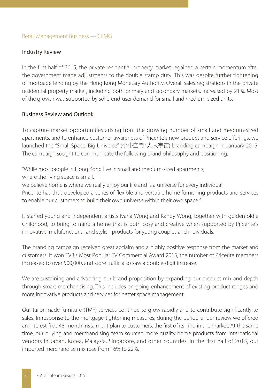## Retail Management Business — CRMG

### Industry Review

In the first half of 2015, the private residential property market regained a certain momentum after the government made adjustments to the double stamp duty. This was despite further tightening of mortgage lending by the Hong Kong Monetary Authority. Overall sales registrations in the private residential property market, including both primary and secondary markets, increased by 21%. Most of the growth was supported by solid end-user demand for small and medium-sized units.

## Business Review and Outlook

To capture market opportunities arising from the growing number of small and medium-sized apartments, and to enhance customer awareness of Pricerite's new product and service offerings, we launched the "Small Space: Big Universe" (小小空間:大大宇宙) branding campaign in January 2015. The campaign sought to communicate the following brand philosophy and positioning:

"While most people in Hong Kong live in small and medium-sized apartments,

where the living space is small,

we believe home is where we really enjoy our life and is a universe for every individual.

Pricerite has thus developed a series of flexible and versatile home furnishing products and services to enable our customers to build their own universe within their own space."

It starred young and independent artists Ivana Wong and Kandy Wong, together with golden oldie Childhood, to bring to mind a home that is both cosy and creative when supported by Pricerite's innovative, multifunctional and stylish products for young couples and individuals.

The branding campaign received great acclaim and a highly positive response from the market and customers. It won TVB's Most Popular TV Commercial Award 2015, the number of Pricerite members increased to over 500,000, and store traffic also saw a double-digit increase.

We are sustaining and advancing our brand proposition by expanding our product mix and depth through smart merchandising. This includes on-going enhancement of existing product ranges and more innovative products and services for better space management.

Our tailor-made furniture (TMF) services continue to grow rapidly and to contribute significantly to sales. In response to the mortgage-tightening measures, during the period under review we offered an interest-free 48-month instalment plan to customers, the first of its kind in the market. At the same time, our buying and merchandising team sourced more quality home products from international vendors in Japan, Korea, Malaysia, Singapore, and other countries. In the first half of 2015, our imported merchandise mix rose from 16% to 22%.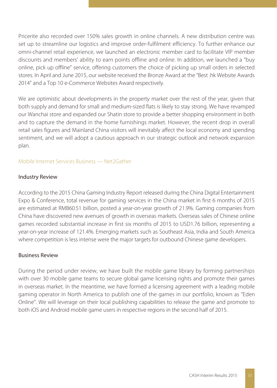Pricerite also recorded over 150% sales growth in online channels. A new distribution centre was set up to streamline our logistics and improve order-fulfilment efficiency. To further enhance our omni-channel retail experience, we launched an electronic member card to facilitate VIP member discounts and members' ability to earn points offline and online. In addition, we launched a "buy online, pick up offline" service, offering customers the choice of picking up small orders in selected stores. In April and June 2015, our website received the Bronze Award at the "Best .hk Website Awards 2014" and a Top 10 e-Commerce Websites Award respectively.

We are optimistic about developments in the property market over the rest of the year, given that both supply and demand for small and medium-sized flats is likely to stay strong. We have revamped our Wanchai store and expanded our Shatin store to provide a better shopping environment in both and to capture the demand in the home furnishings market. However, the recent drop in overall retail sales figures and Mainland China visitors will inevitably affect the local economy and spending sentiment, and we will adopt a cautious approach in our strategic outlook and network expansion plan.

## Mobile Internet Services Business — Net2Gather

## Industry Review

According to the 2015 China Gaming Industry Report released during the China Digital Entertainment Expo & Conference, total revenue for gaming services in the China market in first 6 months of 2015 are estimated at RMB60.51 billion, posted a year-on-year growth of 21.9%. Gaming companies from China have discovered new avenues of growth in overseas markets. Overseas sales of Chinese online games recorded substantial increase in first six months of 2015 to USD1.76 billion, representing a year-on-year increase of 121.4%. Emerging markets such as Southeast Asia, India and South America where competition is less intense were the major targets for outbound Chinese game developers.

## Business Review

During the period under review, we have built the mobile game library by forming partnerships with over 30 mobile game teams to secure global game licensing rights and promote their games in overseas market. In the meantime, we have formed a licensing agreement with a leading mobile gaming operator in North America to publish one of the games in our portfolio, known as "Eden Online". We will leverage on their local publishing capabilities to release the game and promote to both iOS and Android mobile game users in respective regions in the second half of 2015.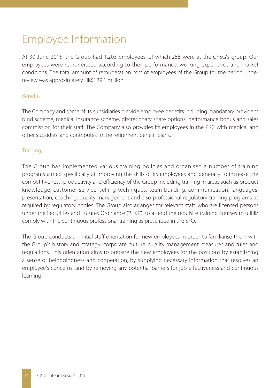# Employee Information

At 30 June 2015, the Group had 1,203 employees, of which 255 were at the CFSG's group. Our employees were remunerated according to their performance, working experience and market conditions. The total amount of remuneration cost of employees of the Group for the period under review was approximately HK\$189.1 million.

# Benefits

The Company and some of its subsidiaries provide employee benefits including mandatory provident fund scheme, medical insurance scheme, discretionary share options, performance bonus and sales commission for their staff. The Company also provides its employees in the PRC with medical and other subsidies, and contributes to the retirement benefit plans.

# **Training**

The Group has implemented various training policies and organised a number of training programs aimed specifically at improving the skills of its employees and generally to increase the competitiveness, productivity and efficiency of the Group including training in areas such as product knowledge, customer service, selling techniques, team building, communication, languages, presentation, coaching, quality management and also professional regulatory training programs as required by regulatory bodies. The Group also arranges for relevant staff, who are licensed persons under the Securities and Futures Ordinance ("SFO"), to attend the requisite training courses to fulfill/ comply with the continuous professional training as prescribed in the SFO.

The Group conducts an initial staff orientation for new employees in order to familiarise them with the Group's history and strategy, corporate culture, quality management measures and rules and regulations. This orientation aims to prepare the new employees for the positions by establishing a sense of belongingness and cooperation; by supplying necessary information that resolves an employee's concerns; and by removing any potential barriers for job effectiveness and continuous learning.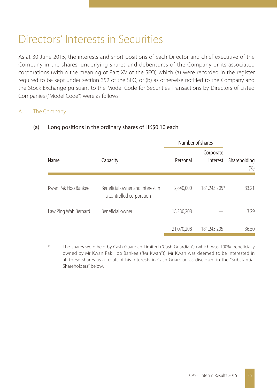# Directors' Interests in Securities

As at 30 June 2015, the interests and short positions of each Director and chief executive of the Company in the shares, underlying shares and debentures of the Company or its associated corporations (within the meaning of Part XV of the SFO) which (a) were recorded in the register required to be kept under section 352 of the SFO; or (b) as otherwise notified to the Company and the Stock Exchange pursuant to the Model Code for Securities Transactions by Directors of Listed Companies ("Model Code") were as follows:

# A. The Company

|                      |                                                              | Number of shares |                       |                      |
|----------------------|--------------------------------------------------------------|------------------|-----------------------|----------------------|
| Name                 | Capacity                                                     | Personal         | Corporate<br>interest | Shareholding<br>(% ) |
| Kwan Pak Hoo Bankee  | Beneficial owner and interest in<br>a controlled corporation | 2,840,000        | 181,245,205*          | 33.21                |
| Law Ping Wah Bernard | Beneficial owner                                             | 18,230,208       |                       | 3.29                 |
|                      |                                                              | 21,070,208       | 181,245,205           | 36.50                |

## (a) Long positions in the ordinary shares of HK\$0.10 each

The shares were held by Cash Guardian Limited ("Cash Guardian") (which was 100% beneficially owned by Mr Kwan Pak Hoo Bankee ("Mr Kwan")). Mr Kwan was deemed to be interested in all these shares as a result of his interests in Cash Guardian as disclosed in the "Substantial Shareholders" below.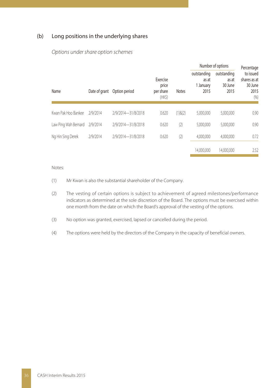## (b) Long positions in the underlying shares

|                      |               |                    |                                          |               | Number of options                         | Percentage                              |                                                      |
|----------------------|---------------|--------------------|------------------------------------------|---------------|-------------------------------------------|-----------------------------------------|------------------------------------------------------|
| Name                 | Date of grant | Option period      | Exercise<br>price<br>per share<br>$(HK\$ | <b>Notes</b>  | outstanding<br>as at<br>1 January<br>2015 | outstanding<br>as at<br>30 June<br>2015 | to issued<br>shares as at<br>30 June<br>2015<br>(96) |
| Kwan Pak Hoo Bankee  | 2/9/2014      | 2/9/2014-31/8/2018 | 0.620                                    | $(1)$ & $(2)$ | 5.000.000                                 | 5.000.000                               | 0.90                                                 |
| Law Ping Wah Bernard | 2/9/2014      | 2/9/2014-31/8/2018 | 0.620                                    | (2)           | 5.000.000                                 | 5.000.000                               | 0.90                                                 |
| Ng Hin Sing Derek    | 2/9/2014      | 2/9/2014-31/8/2018 | 0.620                                    | (2)           | 4.000.000                                 | 4.000.000                               | 0.72                                                 |
|                      |               |                    |                                          |               | 14.000.000                                | 14.000.000                              | 2.52                                                 |

### *Options under share option schemes*

### Notes:

- (1) Mr Kwan is also the substantial shareholder of the Company.
- (2) The vesting of certain options is subject to achievement of agreed milestones/performance indicators as determined at the sole discretion of the Board. The options must be exercised within one month from the date on which the Board's approval of the vesting of the options.
- (3) No option was granted, exercised, lapsed or cancelled during the period.
- (4) The options were held by the directors of the Company in the capacity of beneficial owners.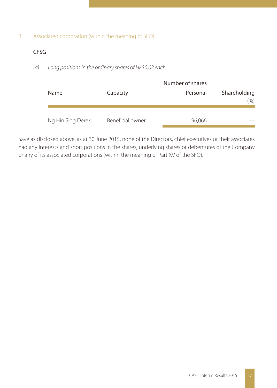# B. Associated corporation (within the meaning of SFO)

# CFSG

*(a) Long positions in the ordinary shares of HK\$0.02 each*

|                   |                  | Number of shares | Shareholding<br>(9/6) |  |
|-------------------|------------------|------------------|-----------------------|--|
| Name              | Capacity         | Personal         |                       |  |
| Ng Hin Sing Derek | Beneficial owner | 96,066           |                       |  |

Save as disclosed above, as at 30 June 2015, none of the Directors, chief executives or their associates had any interests and short positions in the shares, underlying shares or debentures of the Company or any of its associated corporations (within the meaning of Part XV of the SFO).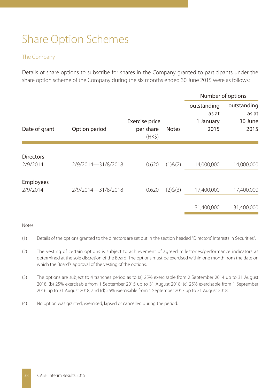# Share Option Schemes

# The Company

Details of share options to subscribe for shares in the Company granted to participants under the share option scheme of the Company during the six months ended 30 June 2015 were as follows:

|                              |                    |                                       |               | Number of options                         |                                         |
|------------------------------|--------------------|---------------------------------------|---------------|-------------------------------------------|-----------------------------------------|
| Date of grant                | Option period      | Exercise price<br>per share<br>$(HK\$ | <b>Notes</b>  | outstanding<br>as at<br>1 January<br>2015 | outstanding<br>as at<br>30 June<br>2015 |
| <b>Directors</b><br>2/9/2014 | 2/9/2014-31/8/2018 | 0.620                                 | $(1)$ & $(2)$ | 14,000,000                                | 14,000,000                              |
| <b>Employees</b><br>2/9/2014 | 2/9/2014-31/8/2018 | 0.620                                 | (2)8(3)       | 17,400,000                                | 17,400,000                              |
|                              |                    |                                       |               | 31,400,000                                | 31,400,000                              |

### Notes:

- (1) Details of the options granted to the directors are set out in the section headed "Directors' Interests in Securities".
- (2) The vesting of certain options is subject to achievement of agreed milestones/performance indicators as determined at the sole discretion of the Board. The options must be exercised within one month from the date on which the Board's approval of the vesting of the options.
- (3) The options are subject to 4 tranches period as to (a) 25% exercisable from 2 September 2014 up to 31 August 2018; (b) 25% exercisable from 1 September 2015 up to 31 August 2018; (c) 25% exercisable from 1 September 2016 up to 31 August 2018; and (d) 25% exercisable from 1 September 2017 up to 31 August 2018.
- (4) No option was granted, exercised, lapsed or cancelled during the period.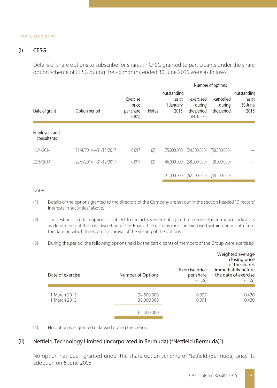## The subsidiaries

# (i) CFSG

Details of share options to subscribe for shares in CFSG granted to participants under the share option scheme of CFSG during the six months ended 30 June 2015 were as follows:

|                              |                      |                                          |              | Number of options                         |                                                 |                                   |                                         |
|------------------------------|----------------------|------------------------------------------|--------------|-------------------------------------------|-------------------------------------------------|-----------------------------------|-----------------------------------------|
| Date of grant                | Option period        | Exercise<br>price<br>per share<br>$(HK\$ | <b>Notes</b> | outstanding<br>as at<br>1 January<br>2015 | exercised<br>during<br>the period<br>(Note (3)) | cancelled<br>during<br>the period | outstanding<br>as at<br>30 June<br>2015 |
| Employees and<br>consultants |                      |                                          |              |                                           |                                                 |                                   |                                         |
| 11/4/2014                    | 11/4/2014-31/12/2017 | 0.097                                    | (2)          | 75.000.000                                | (24,500,000)                                    | (50,500,000)                      |                                         |
| 22/5/2014                    | 22/5/2014-31/12/2017 | 0.091                                    | (2)          | 46.000.000                                | (38.000.000)                                    | (8,000,000)                       |                                         |
|                              |                      |                                          |              | 121.000.000                               | (62,500,000)                                    | (58,500,000)                      |                                         |

Notes:

- (1) Details of the options granted to the directors of the Company are set out in the section headed "Directors' interests in securities" above.
- (2) The vesting of certain options is subject to the achievement of agreed milestones/performance indicators as determined at the sole discretion of the Board. The options must be exercised within one month from the date on which the Board's approval of the vesting of the options.
- (3) During the period, the following options held by the participants of members of the Group were exercised:

| Date of exercise               | Number of Options        | Exercise price<br>per share<br>(HKS) | Weighted average<br>closing price<br>of the shares<br>immediately before<br>the date of exercise<br>(HK <sub>5</sub> ) |
|--------------------------------|--------------------------|--------------------------------------|------------------------------------------------------------------------------------------------------------------------|
|                                |                          |                                      |                                                                                                                        |
| 11 March 2015<br>11 March 2015 | 24,500,000<br>38,000,000 | 0.097<br>0.091                       | 0.430<br>0.430                                                                                                         |
|                                | 62,500,000               |                                      |                                                                                                                        |

(4) No option was granted or lapsed during the period.

## (ii) Netfield Technology Limited (incorporated in Bermuda) ("Netfield (Bermuda)")

No option has been granted under the share option scheme of Netfield (Bermuda) since its adoption on 6 June 2008.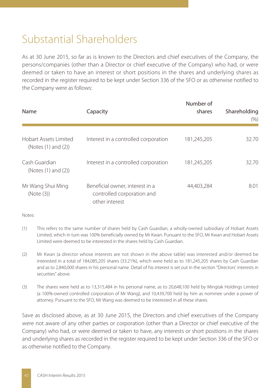# Substantial Shareholders

As at 30 June 2015, so far as is known to the Directors and chief executives of the Company, the persons/companies (other than a Director or chief executive of the Company) who had, or were deemed or taken to have an interest or short positions in the shares and underlying shares as recorded in the register required to be kept under Section 336 of the SFO or as otherwise notified to the Company were as follows:

| Name                                         | Capacity                                                                        | Number of<br>shares | Shareholding<br>(% ) |
|----------------------------------------------|---------------------------------------------------------------------------------|---------------------|----------------------|
| Hobart Assets Limited<br>(Notes (1) and (2)) | Interest in a controlled corporation                                            | 181,245,205         | 32.70                |
| Cash Guardian<br>(Notes (1) and (2))         | Interest in a controlled corporation                                            | 181,245,205         | 32.70                |
| Mr Wang Shui Ming<br>(Note (3))              | Beneficial owner, interest in a<br>controlled corporation and<br>other interest | 44,403,284          | 8.01                 |

Notes:

- (1) This refers to the same number of shares held by Cash Guardian, a wholly-owned subsidiary of Hobart Assets Limited, which in turn was 100% beneficially owned by Mr Kwan. Pursuant to the SFO, Mr Kwan and Hobart Assets Limited were deemed to be interested in the shares held by Cash Guardian.
- (2) Mr Kwan (a director whose interests are not shown in the above table) was interested and/or deemed be interested in a total of 184,085,205 shares (33.21%), which were held as to 181,245,205 shares by Cash Guardian and as to 2,840,000 shares in his personal name. Detail of his interest is set out in the section "Directors' interests in securities" above.
- (3) The shares were held as to 13,315,484 in his personal name, as to 20,648,100 held by Mingtak Holdings Limited (a 100%-owned controlled corporation of Mr Wang), and 10,439,700 held by him as nominee under a power of attorney. Pursuant to the SFO, Mr Wang was deemed to be interested in all these shares.

Save as disclosed above, as at 30 June 2015, the Directors and chief executives of the Company were not aware of any other parties or corporation (other than a Director or chief executive of the Company) who had, or were deemed or taken to have, any interests or short positions in the shares and underlying shares as recorded in the register required to be kept under Section 336 of the SFO or as otherwise notified to the Company.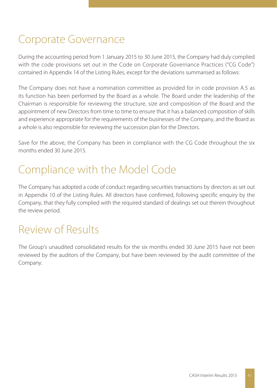# Corporate Governance

During the accounting period from 1 January 2015 to 30 June 2015, the Company had duly complied with the code provisions set out in the Code on Corporate Governance Practices ("CG Code") contained in Appendix 14 of the Listing Rules, except for the deviations summarised as follows:

The Company does not have a nomination committee as provided for in code provision A.5 as its function has been performed by the Board as a whole. The Board under the leadership of the Chairman is responsible for reviewing the structure, size and composition of the Board and the appointment of new Directors from time to time to ensure that it has a balanced composition of skills and experience appropriate for the requirements of the businesses of the Company, and the Board as a whole is also responsible for reviewing the succession plan for the Directors.

Save for the above, the Company has been in compliance with the CG Code throughout the six months ended 30 June 2015.

# Compliance with the Model Code

The Company has adopted a code of conduct regarding securities transactions by directors as set out in Appendix 10 of the Listing Rules. All directors have confirmed, following specific enquiry by the Company, that they fully complied with the required standard of dealings set out therein throughout the review period.

# Review of Results

The Group's unaudited consolidated results for the six months ended 30 June 2015 have not been reviewed by the auditors of the Company, but have been reviewed by the audit committee of the Company.